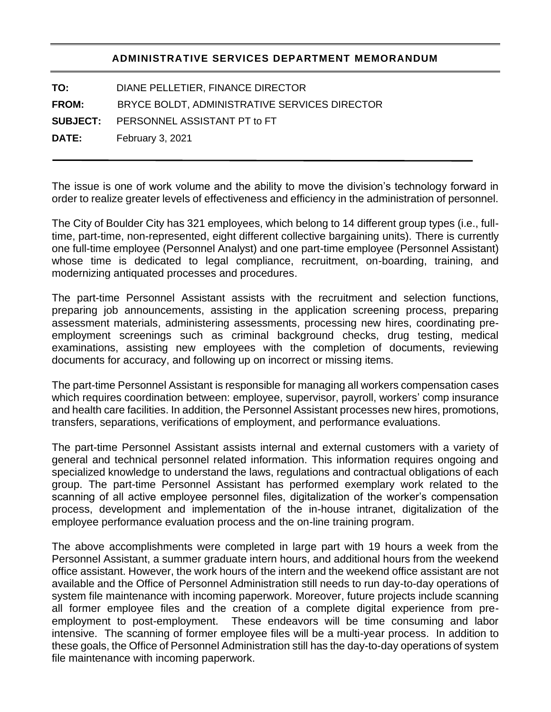## **ADMINISTRATIVE SERVICES DEPARTMENT MEMORANDUM**

**TO:** DIANE PELLETIER, FINANCE DIRECTOR

**FROM:** BRYCE BOLDT, ADMINISTRATIVE SERVICES DIRECTOR

**SUBJECT:** PERSONNEL ASSISTANT PT to FT

**DATE:** February 3, 2021

The issue is one of work volume and the ability to move the division's technology forward in order to realize greater levels of effectiveness and efficiency in the administration of personnel.

The City of Boulder City has 321 employees, which belong to 14 different group types (i.e., fulltime, part-time, non-represented, eight different collective bargaining units). There is currently one full-time employee (Personnel Analyst) and one part-time employee (Personnel Assistant) whose time is dedicated to legal compliance, recruitment, on-boarding, training, and modernizing antiquated processes and procedures.

The part-time Personnel Assistant assists with the recruitment and selection functions, preparing job announcements, assisting in the application screening process, preparing assessment materials, administering assessments, processing new hires, coordinating preemployment screenings such as criminal background checks, drug testing, medical examinations, assisting new employees with the completion of documents, reviewing documents for accuracy, and following up on incorrect or missing items.

The part-time Personnel Assistant is responsible for managing all workers compensation cases which requires coordination between: employee, supervisor, payroll, workers' comp insurance and health care facilities. In addition, the Personnel Assistant processes new hires, promotions, transfers, separations, verifications of employment, and performance evaluations.

The part-time Personnel Assistant assists internal and external customers with a variety of general and technical personnel related information. This information requires ongoing and specialized knowledge to understand the laws, regulations and contractual obligations of each group. The part-time Personnel Assistant has performed exemplary work related to the scanning of all active employee personnel files, digitalization of the worker's compensation process, development and implementation of the in-house intranet, digitalization of the employee performance evaluation process and the on-line training program.

The above accomplishments were completed in large part with 19 hours a week from the Personnel Assistant, a summer graduate intern hours, and additional hours from the weekend office assistant. However, the work hours of the intern and the weekend office assistant are not available and the Office of Personnel Administration still needs to run day-to-day operations of system file maintenance with incoming paperwork. Moreover, future projects include scanning all former employee files and the creation of a complete digital experience from preemployment to post-employment. These endeavors will be time consuming and labor intensive. The scanning of former employee files will be a multi-year process. In addition to these goals, the Office of Personnel Administration still has the day-to-day operations of system file maintenance with incoming paperwork.